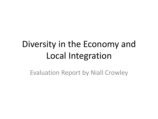# Diversity in the Economy and Local Integration

Evaluation Report by Niall Crowley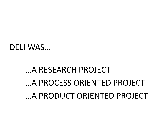# …A RESEARCH PROJECT …A PROCESS ORIENTED PROJECT …A PRODUCT ORIENTED PROJECT

DELI WAS…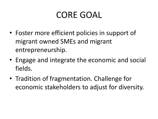# CORE GOAL

- Foster more efficient policies in support of migrant owned SMEs and migrant entrepreneurship.
- Engage and integrate the economic and social fields.
- Tradition of fragmentation. Challenge for economic stakeholders to adjust for diversity.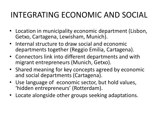### INTEGRATING ECONOMIC AND SOCIAL

- Location in municipality economic department (Lisbon, Getxo, Cartagena, Lewisham, Munich).
- Internal structure to draw social and economic departments together (Reggio Emilia, Cartagena).
- Connectors link into different departments and with migrant entrepreneurs (Munich, Getxo).
- Shared meaning for key concepts agreed by economic and social departments (Cartagena).
- Use language of economic sector, but hold values, 'hidden entrepreneurs' (Rotterdam).
- Locate alongside other groups seeking adaptations.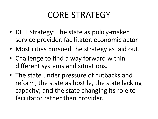### CORE STRATEGY

- DELI Strategy: The state as policy-maker, service provider, facilitator, economic actor.
- Most cities pursued the strategy as laid out.
- Challenge to find a way forward within different systems and situations.
- The state under pressure of cutbacks and reform, the state as hostile, the state lacking capacity; and the state changing its role to facilitator rather than provider.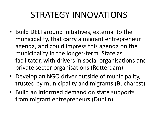# STRATEGY INNOVATIONS

- Build DELI around initiatives, external to the municipality, that carry a migrant entrepreneur agenda, and could impress this agenda on the municipality in the longer-term. State as facilitator, with drivers in social organisations and private sector organisations (Rotterdam).
- Develop an NGO driver outside of municipality, trusted by municipality and migrants (Bucharest).
- Build an informed demand on state supports from migrant entrepreneurs (Dublin).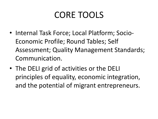# CORE TOOLS

- Internal Task Force; Local Platform; Socio-Economic Profile; Round Tables; Self Assessment; Quality Management Standards; Communication.
- The DELI grid of activities or the DELI principles of equality, economic integration, and the potential of migrant entrepreneurs.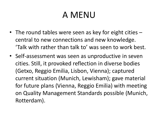# A MENU

- The round tables were seen as key for eight cities central to new connections and new knowledge. 'Talk with rather than talk to' was seen to work best.
- Self-assessment was seen as unproductive in seven cities. Still, it provoked reflection in diverse bodies (Getxo, Reggio Emilia, Lisbon, Vienna); captured current situation (Munich, Lewisham); gave material for future plans (Vienna, Reggio Emilia) with meeting on Quality Management Standards possible (Munich, Rotterdam).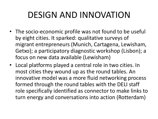# DESIGN AND INNOVATION

- The socio-economic profile was not found to be useful by eight cities. It sparked: qualitative surveys of migrant entrepreneurs (Munich, Cartagena, Lewisham, Getxo); a participatory diagnostic workshop (Lisbon); a focus on new data available (Lewisham)
- Local platforms played a central role in two cities. In most cities they wound up as the round tables. An innovative model was a more fluid networking process formed through the round tables with the DELI staff role specifically identified as connector to make links to turn energy and conversations into action (Rotterdam)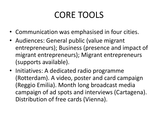# CORE TOOLS

- Communication was emphasised in four cities.
- Audiences: General public (value migrant entrepreneurs); Business (presence and impact of migrant entrepreneurs); Migrant entrepreneurs (supports available).
- Initiatives: A dedicated radio programme (Rotterdam). A video, poster and card campaign (Reggio Emilia). Month long broadcast media campaign of ad spots and interviews (Cartagena). Distribution of free cards (Vienna).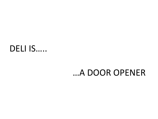### DELI IS.....

### ...A DOOR OPENER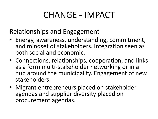### CHANGE - IMPACT

Relationships and Engagement

- Energy, awareness, understanding, commitment, and mindset of stakeholders. Integration seen as both social and economic.
- Connections, relationships, cooperation, and links as a form multi-stakeholder networking or in a hub around the municipality. Engagement of new stakeholders.
- Migrant entrepreneurs placed on stakeholder agendas and supplier diversity placed on procurement agendas.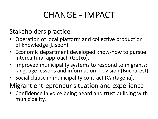# CHANGE - IMPACT

Stakeholders practice

- Operation of local platform and collective production of knowledge (Lisbon).
- Economic department developed know-how to pursue intercultural approach (Getxo).
- Improved municipality systems to respond to migrants: language lessons and information provision (Bucharest)
- Social clause in municipality contract (Cartagena).
- Migrant entrepreneur situation and experience
- Confidence in voice being heard and trust building with municipality.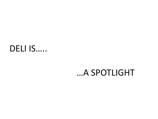### DELI IS.....

### ...A SPOTLIGHT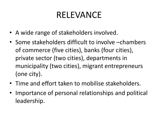# RELEVANCE

- A wide range of stakeholders involved.
- Some stakeholders difficult to involve –chambers of commerce (five cities), banks (four cities), private sector (two cities), departments in municipality (two cities), migrant entrepreneurs (one city).
- Time and effort taken to mobilise stakeholders.
- Importance of personal relationships and political leadership.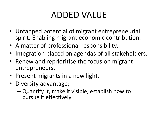# ADDED VALUE

- Untapped potential of migrant entrepreneurial spirit. Enabling migrant economic contribution.
- A matter of professional responsibility.
- Integration placed on agendas of all stakeholders.
- Renew and reprioritise the focus on migrant entrepreneurs.
- Present migrants in a new light.
- Diversity advantage;
	- Quantify it, make it visible, establish how to pursue it effectively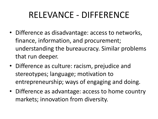# RELEVANCE - DIFFERENCE

- Difference as disadvantage: access to networks, finance, information, and procurement; understanding the bureaucracy. Similar problems that run deeper.
- Difference as culture: racism, prejudice and stereotypes; language; motivation to entrepreneurship; ways of engaging and doing.
- Difference as advantage: access to home country markets; innovation from diversity.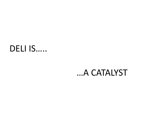### DELI IS.....

#### ...A CATALYST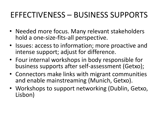### EFFECTIVENESS – BUSINESS SUPPORTS

- Needed more focus. Many relevant stakeholders hold a one-size-fits-all perspective.
- Issues: access to information; more proactive and intense support; adjust for difference.
- Four internal workshops in body responsible for business supports after self-assessment (Getxo);
- Connectors make links with migrant communities and enable mainstreaming (Munich, Getxo).
- Workshops to support networking (Dublin, Getxo, Lisbon)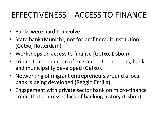### EFFECTIVENESS – ACCESS TO FINANCE

- Banks were hard to involve.
- State bank (Munich); not for profit credit institution (Getxo, Rotterdam).
- Workshops on access to finance (Getxo, Lisbon).
- Tripartite cooperation of migrant entrepreneurs, bank and municipality developed (Getxo).
- Networking of migrant entrepreneurs around a local bank is being developed (Reggio Emilia)
- Engagement with private sector bank on micro-finance credit that addresses lack of banking history (Lisbon)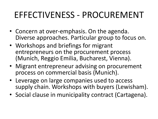## EFFECTIVENESS - PROCUREMENT

- Concern at over-emphasis. On the agenda. Diverse approaches. Particular group to focus on.
- Workshops and briefings for migrant entrepreneurs on the procurement process (Munich, Reggio Emilia, Bucharest, Vienna).
- Migrant entrepreneur advising on procurement process on commercial basis (Munich).
- Leverage on large companies used to access supply chain. Workshops with buyers (Lewisham).
- Social clause in municipality contract (Cartagena).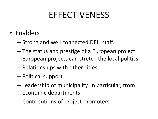### **EFFECTIVENESS**

- Enablers
	- Strong and well connected DELI staff.
	- The status and prestige of a European project. European projects can stretch the local politics.
	- Relationships with other cities.
	- Political support.
	- Leadership of municipality, in particular, from economic departments
	- Contributions of project promoters.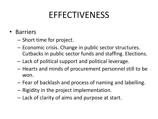### **EFFECTIVENESS**

- Barriers
	- Short time for project.
	- Economic crisis. Change in public sector structures. Cutbacks in public sector funds and staffing. Elections.
	- Lack of political support and political leverage.
	- Hearts and minds of procurement personnel still to be won.
	- Fear of backlash and process of naming and labelling.
	- Rigidity in the project implementation.
	- Lack of clarity of aims and purpose at start.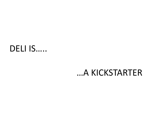### DELI IS.....

#### ...A KICKSTARTER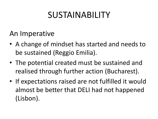# SUSTAINABILITY

An Imperative

- A change of mindset has started and needs to be sustained (Reggio Emilia).
- The potential created must be sustained and realised through further action (Bucharest).
- If expectations raised are not fulfilled it would almost be better that DELI had not happened (Lisbon).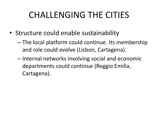# CHALLENGING THE CITIES

- Structure could enable sustainability
	- The local platform could continue. Its membership and role could evolve (Lisbon, Cartagena).
	- Internal networks involving social and economic departments could continue (Reggio Emilia, Cartagena).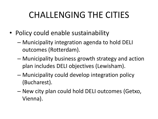# CHALLENGING THE CITIES

- Policy could enable sustainability
	- Municipality integration agenda to hold DELI outcomes (Rotterdam).
	- Municipality business growth strategy and action plan includes DELI objectives (Lewisham).
	- Municipality could develop integration policy (Bucharest).
	- New city plan could hold DELI outcomes (Getxo, Vienna).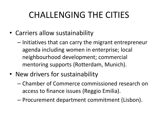# CHALLENGING THE CITIES

- Carriers allow sustainability
	- Initiatives that can carry the migrant entrepreneur agenda including women in enterprise; local neighbourhood development; commercial mentoring supports (Rotterdam, Munich).
- New drivers for sustainability
	- Chamber of Commerce commissioned research on access to finance issues (Reggio Emilia).
	- Procurement department commitment (Lisbon).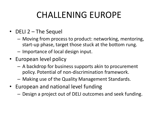# CHALLENING EUROPE

- DELI 2 The Sequel
	- Moving from process to product: networking, mentoring, start-up phase, target those stuck at the bottom rung.
	- Importance of local design input.
- European level policy
	- A backdrop for business supports akin to procurement policy. Potential of non-discrimination framework.
	- Making use of the Quality Management Standards.
- European and national level funding
	- Design a project out of DELI outcomes and seek funding.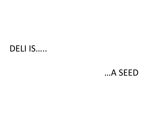### DELI IS.....

### ...A SEED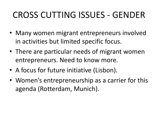# CROSS CUTTING ISSUES - GENDER

- Many women migrant entrepreneurs involved in activities but limited specific focus.
- There are particular needs of migrant women entrepreneurs. Need to know more.
- A focus for future initiative (Lisbon).
- Women's entrepreneurship as a carrier for this agenda (Rotterdam, Munich).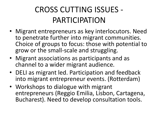### CROSS CUTTING ISSUES - PARTICIPATION

- Migrant entrepreneurs as key interlocutors. Need to penetrate further into migrant communities. Choice of groups to focus: those with potential to grow or the small-scale and struggling.
- Migrant associations as participants and as channel to a wider migrant audience.
- DELI as migrant led. Participation and feedback into migrant entrepreneur events. (Rotterdam)
- Workshops to dialogue with migrant entrepreneurs (Reggio Emilia, Lisbon, Cartagena, Bucharest). Need to develop consultation tools.